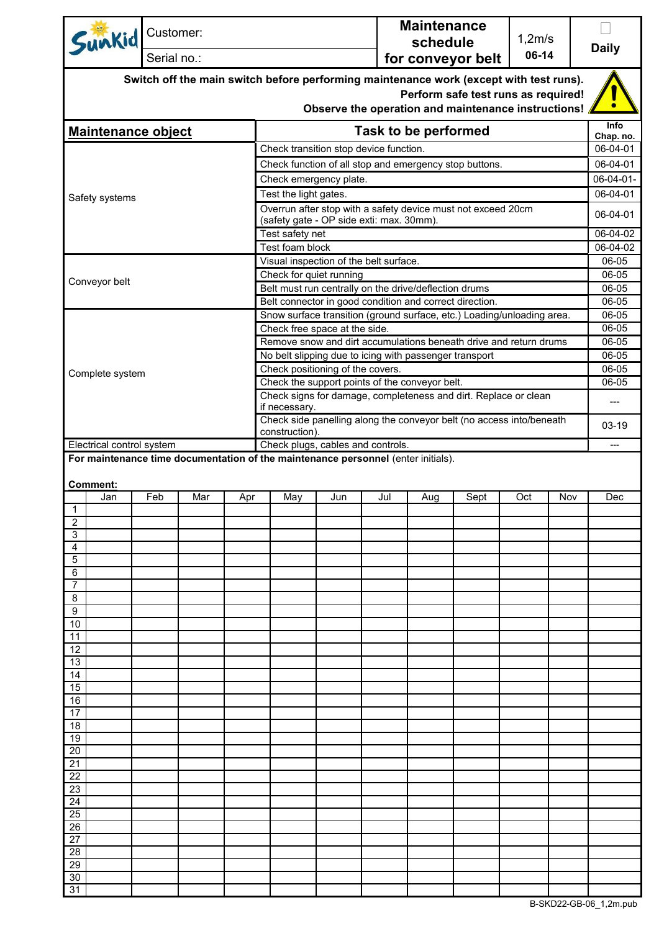|                           | Sunkid                                                                                                                                                                               | Customer:   |     |     |                                                                                                  |                                                                                                          |     | <b>Maintenance</b><br>schedule |      | 1,2m/s                   |       |                      |
|---------------------------|--------------------------------------------------------------------------------------------------------------------------------------------------------------------------------------|-------------|-----|-----|--------------------------------------------------------------------------------------------------|----------------------------------------------------------------------------------------------------------|-----|--------------------------------|------|--------------------------|-------|----------------------|
|                           |                                                                                                                                                                                      | Serial no.: |     |     |                                                                                                  |                                                                                                          |     | 06-14<br>for conveyor belt     |      |                          |       | <b>Daily</b>         |
|                           | Switch off the main switch before performing maintenance work (except with test runs).<br>Perform safe test runs as required!<br>Observe the operation and maintenance instructions! |             |     |     |                                                                                                  |                                                                                                          |     |                                |      |                          |       |                      |
| <b>Maintenance object</b> |                                                                                                                                                                                      |             |     |     |                                                                                                  |                                                                                                          |     |                                |      | <b>Info</b><br>Chap. no. |       |                      |
|                           |                                                                                                                                                                                      |             |     |     |                                                                                                  |                                                                                                          |     | Task to be performed           |      |                          |       |                      |
|                           |                                                                                                                                                                                      |             |     |     | Check transition stop device function.<br>Check function of all stop and emergency stop buttons. |                                                                                                          |     |                                |      |                          |       | 06-04-01<br>06-04-01 |
|                           |                                                                                                                                                                                      |             |     |     |                                                                                                  | Check emergency plate.                                                                                   |     |                                |      |                          |       |                      |
|                           | Safety systems                                                                                                                                                                       |             |     |     | Test the light gates.                                                                            |                                                                                                          |     |                                |      |                          |       | 06-04-01             |
|                           |                                                                                                                                                                                      |             |     |     |                                                                                                  | Overrun after stop with a safety device must not exceed 20cm<br>(safety gate - OP side exti: max. 30mm). |     |                                |      |                          |       | 06-04-01             |
|                           |                                                                                                                                                                                      |             |     |     | Test safety net                                                                                  |                                                                                                          |     |                                |      |                          |       | 06-04-02             |
|                           |                                                                                                                                                                                      |             |     |     | Test foam block                                                                                  |                                                                                                          |     |                                |      |                          |       | 06-04-02<br>06-05    |
|                           |                                                                                                                                                                                      |             |     |     | Check for quiet running                                                                          | Visual inspection of the belt surface.                                                                   |     |                                |      |                          |       | 06-05                |
|                           | Conveyor belt                                                                                                                                                                        |             |     |     |                                                                                                  | Belt must run centrally on the drive/deflection drums                                                    |     |                                |      |                          |       | 06-05                |
|                           |                                                                                                                                                                                      |             |     |     |                                                                                                  | Belt connector in good condition and correct direction.                                                  |     |                                |      |                          |       | 06-05                |
|                           |                                                                                                                                                                                      |             |     |     |                                                                                                  | Snow surface transition (ground surface, etc.) Loading/unloading area.                                   |     |                                |      |                          |       | 06-05                |
|                           |                                                                                                                                                                                      |             |     |     |                                                                                                  | Check free space at the side.                                                                            |     |                                |      |                          |       | 06-05                |
|                           |                                                                                                                                                                                      |             |     |     |                                                                                                  | Remove snow and dirt accumulations beneath drive and return drums                                        |     |                                |      |                          |       | 06-05                |
|                           |                                                                                                                                                                                      |             |     |     |                                                                                                  | No belt slipping due to icing with passenger transport<br>Check positioning of the covers.               |     |                                |      |                          |       | 06-05<br>06-05       |
|                           | Complete system                                                                                                                                                                      |             |     |     |                                                                                                  | Check the support points of the conveyor belt.                                                           |     |                                |      |                          |       | 06-05                |
|                           |                                                                                                                                                                                      |             |     |     | if necessary.                                                                                    | Check signs for damage, completeness and dirt. Replace or clean                                          |     |                                |      |                          |       | ---                  |
|                           |                                                                                                                                                                                      |             |     |     | Check side panelling along the conveyor belt (no access into/beneath<br>construction).           |                                                                                                          |     |                                |      |                          | 03-19 |                      |
|                           | Electrical control system                                                                                                                                                            |             |     |     |                                                                                                  | Check plugs, cables and controls.                                                                        |     |                                |      |                          |       | ---                  |
|                           | Comment:                                                                                                                                                                             |             |     |     |                                                                                                  | For maintenance time documentation of the maintenance personnel (enter initials).                        |     |                                |      |                          |       |                      |
|                           | Jan                                                                                                                                                                                  |             |     |     |                                                                                                  |                                                                                                          |     |                                |      |                          |       |                      |
| $\mathbf{1}$              |                                                                                                                                                                                      |             |     | Apr | May                                                                                              | Jun                                                                                                      | Jul | Aug                            | Sept | Oct                      | Nov   | Dec                  |
|                           |                                                                                                                                                                                      | Feb         | Mar |     |                                                                                                  |                                                                                                          |     |                                |      |                          |       |                      |
| $\overline{2}$            |                                                                                                                                                                                      |             |     |     |                                                                                                  |                                                                                                          |     |                                |      |                          |       |                      |
| 3<br>4                    |                                                                                                                                                                                      |             |     |     |                                                                                                  |                                                                                                          |     |                                |      |                          |       |                      |
| 5                         |                                                                                                                                                                                      |             |     |     |                                                                                                  |                                                                                                          |     |                                |      |                          |       |                      |
| 6                         |                                                                                                                                                                                      |             |     |     |                                                                                                  |                                                                                                          |     |                                |      |                          |       |                      |
| 7                         |                                                                                                                                                                                      |             |     |     |                                                                                                  |                                                                                                          |     |                                |      |                          |       |                      |
| 8                         |                                                                                                                                                                                      |             |     |     |                                                                                                  |                                                                                                          |     |                                |      |                          |       |                      |
| 9<br>10                   |                                                                                                                                                                                      |             |     |     |                                                                                                  |                                                                                                          |     |                                |      |                          |       |                      |
| 11                        |                                                                                                                                                                                      |             |     |     |                                                                                                  |                                                                                                          |     |                                |      |                          |       |                      |
| 12                        |                                                                                                                                                                                      |             |     |     |                                                                                                  |                                                                                                          |     |                                |      |                          |       |                      |
| 13                        |                                                                                                                                                                                      |             |     |     |                                                                                                  |                                                                                                          |     |                                |      |                          |       |                      |
| 14                        |                                                                                                                                                                                      |             |     |     |                                                                                                  |                                                                                                          |     |                                |      |                          |       |                      |
| 15<br>16                  |                                                                                                                                                                                      |             |     |     |                                                                                                  |                                                                                                          |     |                                |      |                          |       |                      |
| 17                        |                                                                                                                                                                                      |             |     |     |                                                                                                  |                                                                                                          |     |                                |      |                          |       |                      |
| 18                        |                                                                                                                                                                                      |             |     |     |                                                                                                  |                                                                                                          |     |                                |      |                          |       |                      |
| 19                        |                                                                                                                                                                                      |             |     |     |                                                                                                  |                                                                                                          |     |                                |      |                          |       |                      |
| 20<br>21                  |                                                                                                                                                                                      |             |     |     |                                                                                                  |                                                                                                          |     |                                |      |                          |       |                      |
| 22                        |                                                                                                                                                                                      |             |     |     |                                                                                                  |                                                                                                          |     |                                |      |                          |       |                      |
| 23                        |                                                                                                                                                                                      |             |     |     |                                                                                                  |                                                                                                          |     |                                |      |                          |       |                      |
| 24                        |                                                                                                                                                                                      |             |     |     |                                                                                                  |                                                                                                          |     |                                |      |                          |       |                      |
| 25                        |                                                                                                                                                                                      |             |     |     |                                                                                                  |                                                                                                          |     |                                |      |                          |       |                      |
| 26<br>27                  |                                                                                                                                                                                      |             |     |     |                                                                                                  |                                                                                                          |     |                                |      |                          |       |                      |
| 28                        |                                                                                                                                                                                      |             |     |     |                                                                                                  |                                                                                                          |     |                                |      |                          |       |                      |
| 29<br>30                  |                                                                                                                                                                                      |             |     |     |                                                                                                  |                                                                                                          |     |                                |      |                          |       |                      |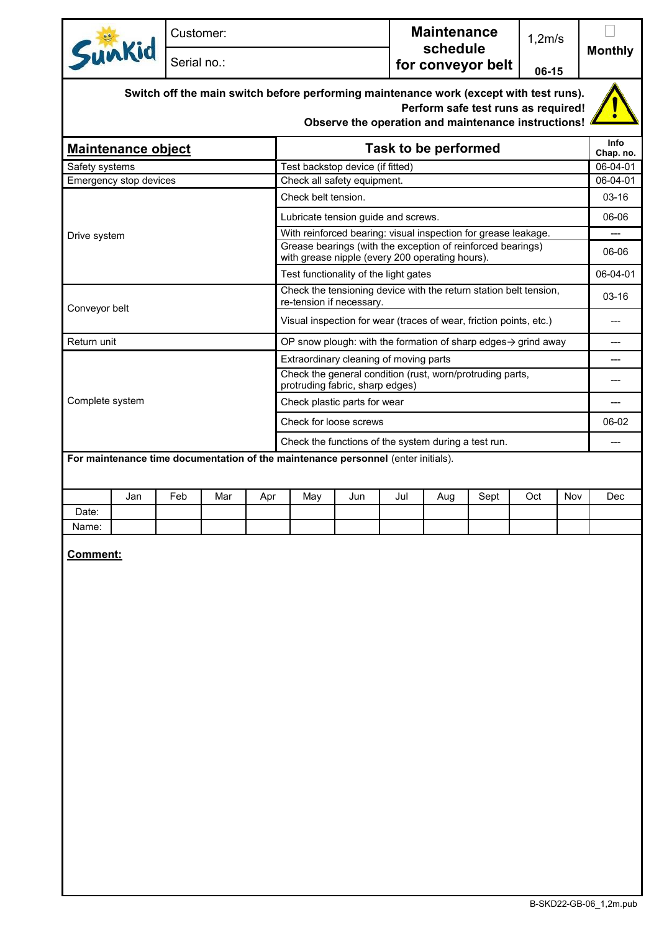|                                                                                   |     | Customer:   |     |                                                                                              |                                                                                                                |                                                     |     | <b>Maintenance</b><br>schedule |                                     |                | 1,2m/s   |                   |
|-----------------------------------------------------------------------------------|-----|-------------|-----|----------------------------------------------------------------------------------------------|----------------------------------------------------------------------------------------------------------------|-----------------------------------------------------|-----|--------------------------------|-------------------------------------|----------------|----------|-------------------|
| Sunkid                                                                            |     | Serial no.: |     |                                                                                              | for conveyor belt                                                                                              |                                                     |     | 06-15                          |                                     | <b>Monthly</b> |          |                   |
|                                                                                   |     |             |     |                                                                                              | Switch off the main switch before performing maintenance work (except with test runs).                         | Observe the operation and maintenance instructions! |     |                                | Perform safe test runs as required! |                |          |                   |
| <b>Maintenance object</b>                                                         |     |             |     |                                                                                              | <b>Task to be performed</b>                                                                                    |                                                     |     |                                |                                     |                |          | Info<br>Chap. no. |
| Safety systems                                                                    |     |             |     |                                                                                              | Test backstop device (if fitted)                                                                               |                                                     |     |                                |                                     |                |          | 06-04-01          |
| Emergency stop devices                                                            |     |             |     |                                                                                              | Check all safety equipment.                                                                                    |                                                     |     |                                |                                     |                |          | 06-04-01          |
|                                                                                   |     |             |     |                                                                                              | Check belt tension.                                                                                            |                                                     |     |                                |                                     |                |          | $03 - 16$         |
|                                                                                   |     |             |     |                                                                                              | Lubricate tension guide and screws.                                                                            |                                                     |     |                                |                                     |                | 06-06    |                   |
| Drive system                                                                      |     |             |     |                                                                                              | With reinforced bearing: visual inspection for grease leakage.                                                 |                                                     |     |                                |                                     |                |          |                   |
|                                                                                   |     |             |     |                                                                                              | Grease bearings (with the exception of reinforced bearings)<br>with grease nipple (every 200 operating hours). |                                                     |     |                                |                                     | 06-06          |          |                   |
|                                                                                   |     |             |     |                                                                                              | Test functionality of the light gates                                                                          |                                                     |     |                                |                                     |                | 06-04-01 |                   |
|                                                                                   |     |             |     |                                                                                              | Check the tensioning device with the return station belt tension,<br>re-tension if necessary.                  |                                                     |     |                                |                                     |                | $03-16$  |                   |
| Conveyor belt                                                                     |     |             |     |                                                                                              | Visual inspection for wear (traces of wear, friction points, etc.)                                             |                                                     |     |                                |                                     |                | ---      |                   |
| Return unit                                                                       |     |             |     |                                                                                              | OP snow plough: with the formation of sharp edges $\rightarrow$ grind away                                     |                                                     |     |                                |                                     |                | ---      |                   |
|                                                                                   |     |             |     |                                                                                              | Extraordinary cleaning of moving parts                                                                         |                                                     |     |                                |                                     |                |          |                   |
|                                                                                   |     |             |     | Check the general condition (rust, worn/protruding parts,<br>protruding fabric, sharp edges) |                                                                                                                |                                                     |     |                                |                                     | ---            |          |                   |
| Complete system                                                                   |     |             |     |                                                                                              | Check plastic parts for wear                                                                                   |                                                     |     |                                |                                     |                | ---      |                   |
|                                                                                   |     |             |     |                                                                                              | Check for loose screws                                                                                         |                                                     |     |                                |                                     |                | 06-02    |                   |
|                                                                                   |     |             |     |                                                                                              | Check the functions of the system during a test run.                                                           |                                                     |     |                                |                                     |                | ---      |                   |
| For maintenance time documentation of the maintenance personnel (enter initials). |     |             |     |                                                                                              |                                                                                                                |                                                     |     |                                |                                     |                |          |                   |
|                                                                                   | Jan | Feb         | Mar | Apr                                                                                          | May                                                                                                            | Jun                                                 | Jul | Aug                            | Sept                                | Oct            | Nov      | Dec               |
| Date:                                                                             |     |             |     |                                                                                              |                                                                                                                |                                                     |     |                                |                                     |                |          |                   |
| Name:                                                                             |     |             |     |                                                                                              |                                                                                                                |                                                     |     |                                |                                     |                |          |                   |

**Comment:**